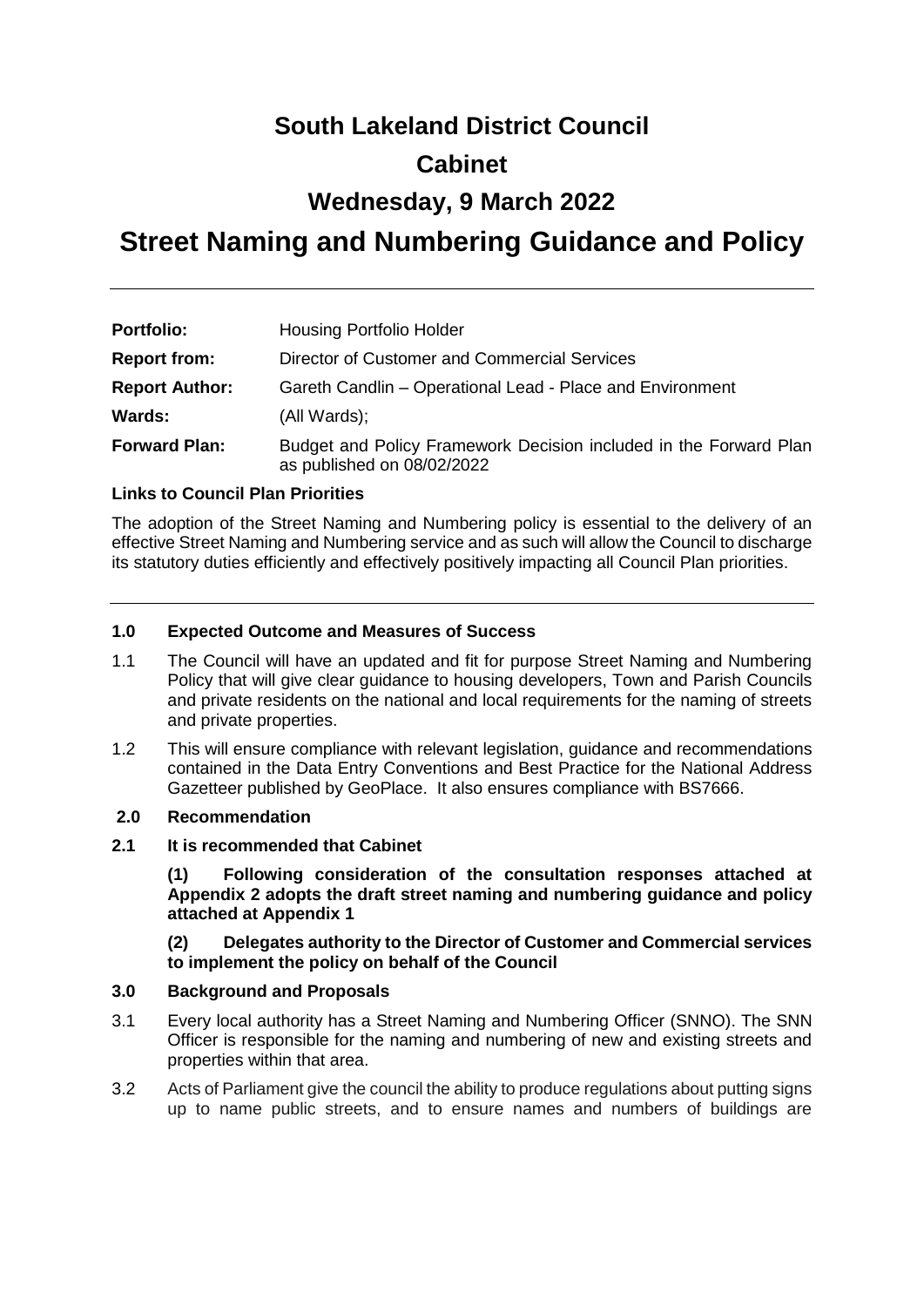# **South Lakeland District Council**

### **Cabinet**

### **Wednesday, 9 March 2022**

## **Street Naming and Numbering Guidance and Policy**

| <b>Portfolio:</b>     | <b>Housing Portfolio Holder</b>                                                                 |
|-----------------------|-------------------------------------------------------------------------------------------------|
| <b>Report from:</b>   | Director of Customer and Commercial Services                                                    |
| <b>Report Author:</b> | Gareth Candlin - Operational Lead - Place and Environment                                       |
| Wards:                | (All Wards);                                                                                    |
| <b>Forward Plan:</b>  | Budget and Policy Framework Decision included in the Forward Plan<br>as published on 08/02/2022 |

#### **Links to Council Plan Priorities**

The adoption of the Street Naming and Numbering policy is essential to the delivery of an effective Street Naming and Numbering service and as such will allow the Council to discharge its statutory duties efficiently and effectively positively impacting all Council Plan priorities.

#### **1.0 Expected Outcome and Measures of Success**

- 1.1 The Council will have an updated and fit for purpose Street Naming and Numbering Policy that will give clear guidance to housing developers, Town and Parish Councils and private residents on the national and local requirements for the naming of streets and private properties.
- 1.2 This will ensure compliance with relevant legislation, guidance and recommendations contained in the Data Entry Conventions and Best Practice for the National Address Gazetteer published by GeoPlace. It also ensures compliance with BS7666.

#### **2.0 Recommendation**

**2.1 It is recommended that Cabinet** 

**(1) Following consideration of the consultation responses attached at Appendix 2 adopts the draft street naming and numbering guidance and policy attached at Appendix 1**

**(2) Delegates authority to the Director of Customer and Commercial services to implement the policy on behalf of the Council** 

#### **3.0 Background and Proposals**

- 3.1 Every local authority has a Street Naming and Numbering Officer (SNNO). The SNN Officer is responsible for the naming and numbering of new and existing streets and properties within that area.
- 3.2 Acts of Parliament give the council the ability to produce regulations about putting signs up to name public streets, and to ensure names and numbers of buildings are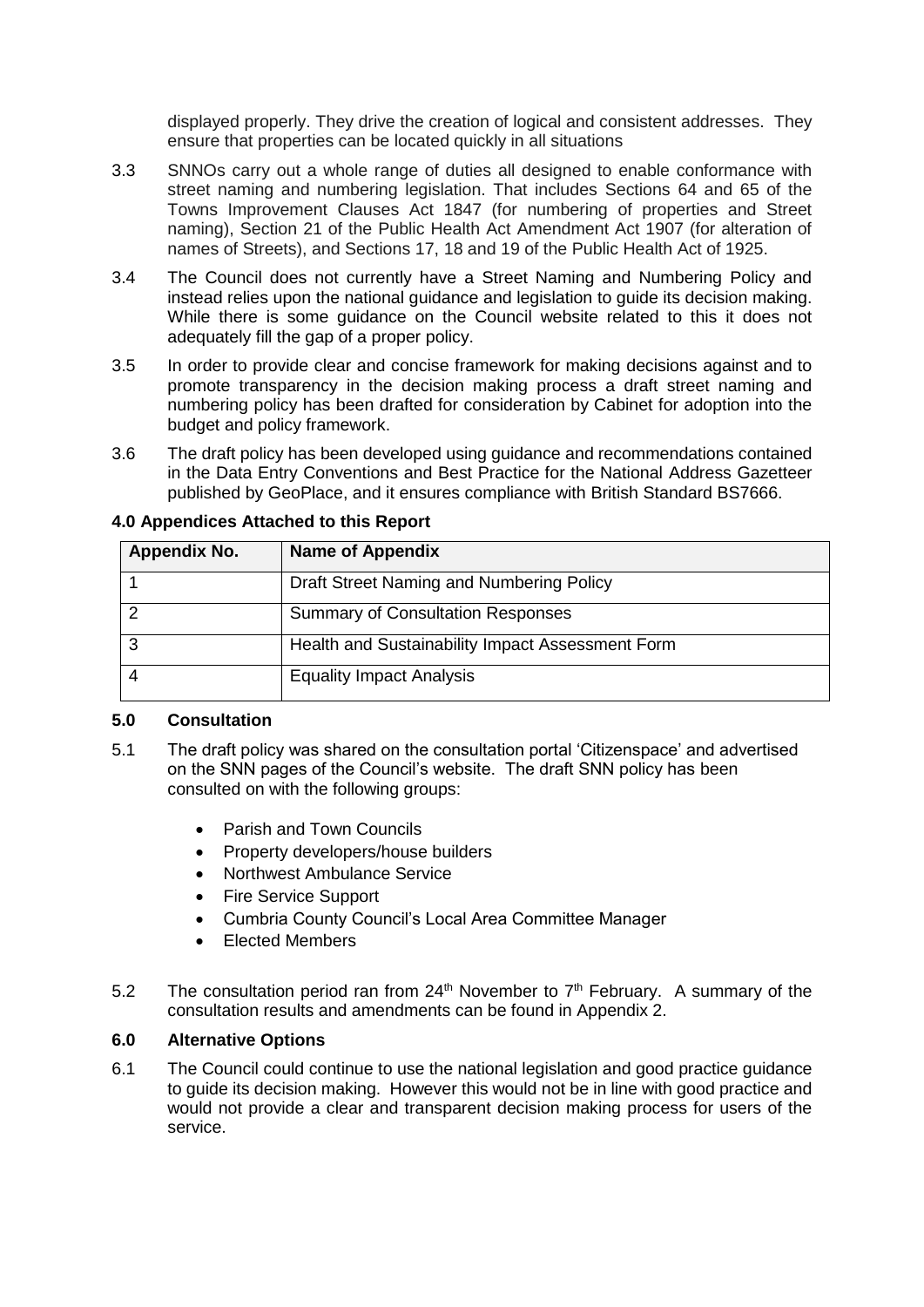displayed properly. They drive the creation of logical and consistent addresses. They ensure that properties can be located quickly in all situations

- 3.3 SNNOs carry out a whole range of duties all designed to enable conformance with street naming and numbering legislation. That includes Sections 64 and 65 of the Towns Improvement Clauses Act 1847 (for numbering of properties and Street naming), Section 21 of the Public Health Act Amendment Act 1907 (for alteration of names of Streets), and Sections 17, 18 and 19 of the Public Health Act of 1925.
- 3.4 The Council does not currently have a Street Naming and Numbering Policy and instead relies upon the national guidance and legislation to guide its decision making. While there is some guidance on the Council website related to this it does not adequately fill the gap of a proper policy.
- 3.5 In order to provide clear and concise framework for making decisions against and to promote transparency in the decision making process a draft street naming and numbering policy has been drafted for consideration by Cabinet for adoption into the budget and policy framework.
- 3.6 The draft policy has been developed using guidance and recommendations contained in the Data Entry Conventions and Best Practice for the National Address Gazetteer published by GeoPlace, and it ensures compliance with British Standard BS7666.

| <b>Appendix No.</b> | <b>Name of Appendix</b>                          |
|---------------------|--------------------------------------------------|
|                     | Draft Street Naming and Numbering Policy         |
|                     | <b>Summary of Consultation Responses</b>         |
| ◠                   | Health and Sustainability Impact Assessment Form |
|                     | <b>Equality Impact Analysis</b>                  |

#### **4.0 Appendices Attached to this Report**

#### **5.0 Consultation**

- 5.1 The draft policy was shared on the consultation portal 'Citizenspace' and advertised on the SNN pages of the Council's website. The draft SNN policy has been consulted on with the following groups:
	- Parish and Town Councils
	- Property developers/house builders
	- Northwest Ambulance Service
	- Fire Service Support
	- Cumbria County Council's Local Area Committee Manager
	- Elected Members
- 5.2 The consultation period ran from  $24<sup>th</sup>$  November to  $7<sup>th</sup>$  February. A summary of the consultation results and amendments can be found in Appendix 2.

#### **6.0 Alternative Options**

6.1 The Council could continue to use the national legislation and good practice guidance to guide its decision making. However this would not be in line with good practice and would not provide a clear and transparent decision making process for users of the service.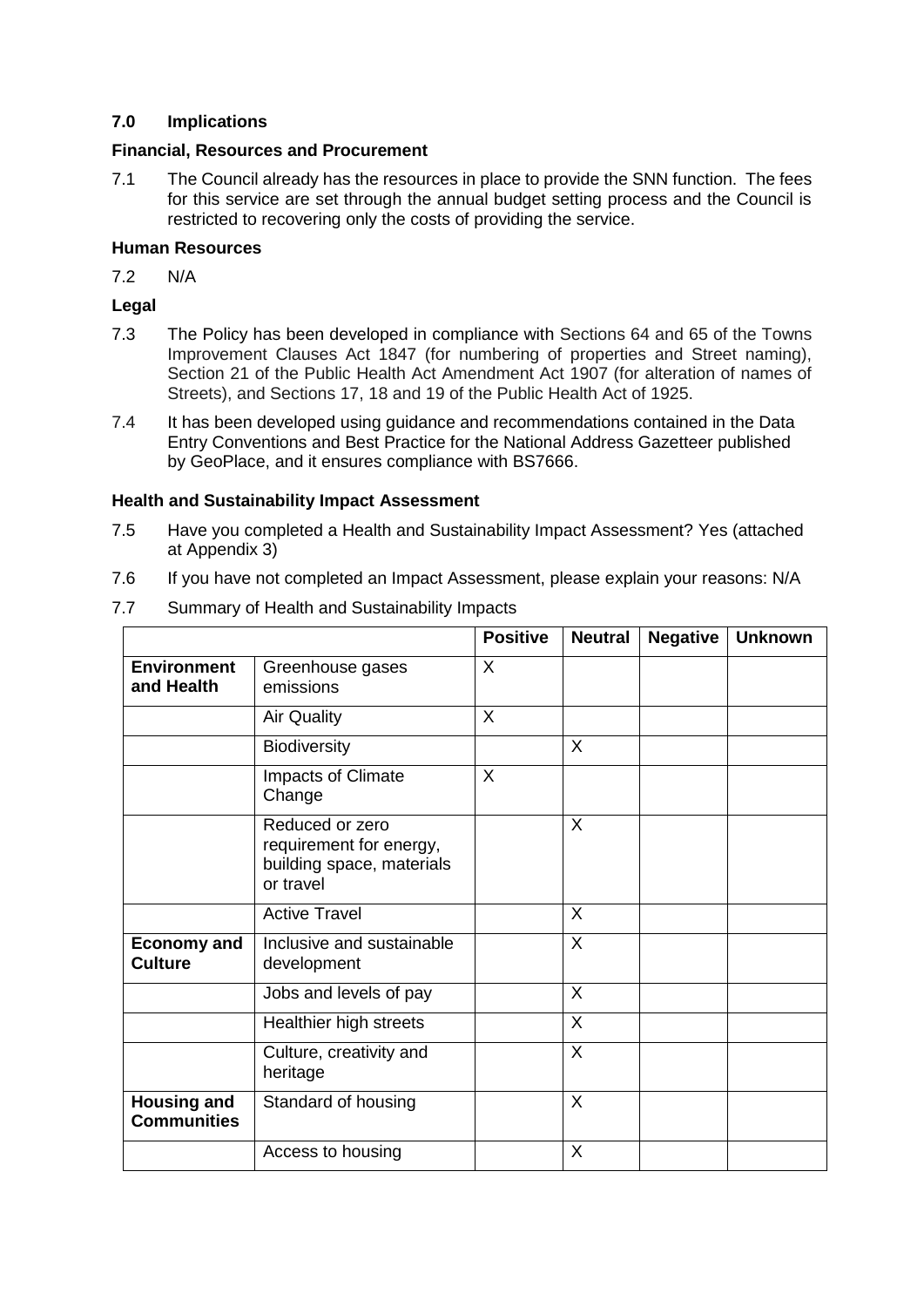#### **7.0 Implications**

#### **Financial, Resources and Procurement**

7.1 The Council already has the resources in place to provide the SNN function. The fees for this service are set through the annual budget setting process and the Council is restricted to recovering only the costs of providing the service.

#### **Human Resources**

7.2 N/A

#### **Legal**

- 7.3 The Policy has been developed in compliance with Sections 64 and 65 of the Towns Improvement Clauses Act 1847 (for numbering of properties and Street naming), Section 21 of the Public Health Act Amendment Act 1907 (for alteration of names of Streets), and Sections 17, 18 and 19 of the Public Health Act of 1925.
- 7.4 It has been developed using guidance and recommendations contained in the Data Entry Conventions and Best Practice for the National Address Gazetteer published by GeoPlace, and it ensures compliance with BS7666.

#### **Health and Sustainability Impact Assessment**

- 7.5 Have you completed a Health and Sustainability Impact Assessment? Yes (attached at Appendix 3)
- 7.6 If you have not completed an Impact Assessment, please explain your reasons: N/A

|                                          |                                                                                      | <b>Positive</b> | <b>Neutral</b> | <b>Negative</b> | <b>Unknown</b> |
|------------------------------------------|--------------------------------------------------------------------------------------|-----------------|----------------|-----------------|----------------|
| <b>Environment</b><br>and Health         | Greenhouse gases<br>emissions                                                        | X               |                |                 |                |
|                                          | <b>Air Quality</b>                                                                   | X               |                |                 |                |
|                                          | <b>Biodiversity</b>                                                                  |                 | X              |                 |                |
|                                          | Impacts of Climate<br>Change                                                         | $\mathsf{X}$    |                |                 |                |
|                                          | Reduced or zero<br>requirement for energy,<br>building space, materials<br>or travel |                 | $\sf X$        |                 |                |
|                                          | <b>Active Travel</b>                                                                 |                 | X              |                 |                |
| <b>Economy and</b><br><b>Culture</b>     | Inclusive and sustainable<br>development                                             |                 | X              |                 |                |
|                                          | Jobs and levels of pay                                                               |                 | $\sf X$        |                 |                |
|                                          | Healthier high streets                                                               |                 | X              |                 |                |
|                                          | Culture, creativity and<br>heritage                                                  |                 | X              |                 |                |
| <b>Housing and</b><br><b>Communities</b> | Standard of housing                                                                  |                 | X              |                 |                |
|                                          | Access to housing                                                                    |                 | $\times$       |                 |                |

7.7 Summary of Health and Sustainability Impacts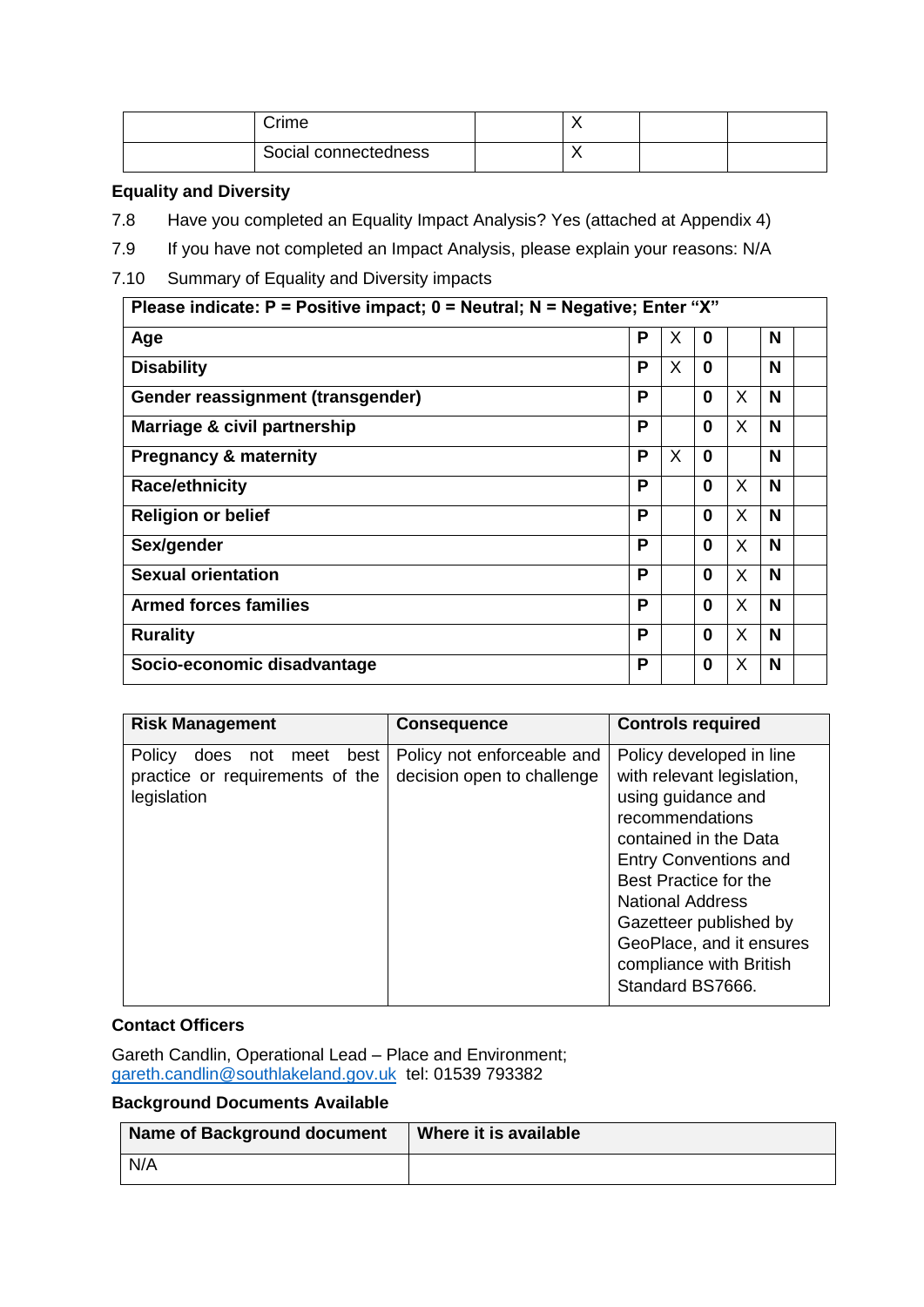| Crime                |         |  |
|----------------------|---------|--|
| Social connectedness | $\cdot$ |  |

#### **Equality and Diversity**

- 7.8 Have you completed an Equality Impact Analysis? Yes (attached at Appendix 4)
- 7.9 If you have not completed an Impact Analysis, please explain your reasons: N/A
- 7.10 Summary of Equality and Diversity impacts

| Please indicate: $P =$ Positive impact; $0 =$ Neutral; N = Negative; Enter "X" |   |   |              |    |   |  |
|--------------------------------------------------------------------------------|---|---|--------------|----|---|--|
| Age                                                                            | P | Х | $\bf{0}$     |    | N |  |
| <b>Disability</b>                                                              | Р | X | $\mathbf{0}$ |    | N |  |
| Gender reassignment (transgender)                                              | Р |   | 0            | X  | N |  |
| Marriage & civil partnership                                                   | Р |   | 0            | X  | N |  |
| <b>Pregnancy &amp; maternity</b>                                               | Р | X | $\bf{0}$     |    | N |  |
| <b>Race/ethnicity</b>                                                          | P |   | 0            | X  | N |  |
| <b>Religion or belief</b>                                                      | P |   | $\mathbf{0}$ | X. | N |  |
| Sex/gender                                                                     | P |   | $\mathbf{0}$ | X. | N |  |
| <b>Sexual orientation</b>                                                      | P |   | $\mathbf{0}$ | X  | N |  |
| <b>Armed forces families</b>                                                   | P |   | $\mathbf{0}$ | X  | N |  |
| <b>Rurality</b>                                                                | Р |   | $\Omega$     | X  | N |  |
| Socio-economic disadvantage                                                    | Р |   | 0            | X  | N |  |

| <b>Risk Management</b>                                                                  | <b>Consequence</b>                                       | <b>Controls required</b>                                                                                                                                                                                                                                                                                          |
|-----------------------------------------------------------------------------------------|----------------------------------------------------------|-------------------------------------------------------------------------------------------------------------------------------------------------------------------------------------------------------------------------------------------------------------------------------------------------------------------|
| Policy<br>best<br>does<br>meet<br>not<br>practice or requirements of the<br>legislation | Policy not enforceable and<br>decision open to challenge | Policy developed in line<br>with relevant legislation,<br>using guidance and<br>recommendations<br>contained in the Data<br><b>Entry Conventions and</b><br>Best Practice for the<br><b>National Address</b><br>Gazetteer published by<br>GeoPlace, and it ensures<br>compliance with British<br>Standard BS7666. |

#### **Contact Officers**

Gareth Candlin, Operational Lead – Place and Environment; [gareth.candlin@southlakeland.gov.uk](mailto:gareth.candlin@southlakeland.gov.uk) tel: 01539 793382

#### **Background Documents Available**

| <b>Name of Background document</b> | Where it is available |
|------------------------------------|-----------------------|
| N/A                                |                       |